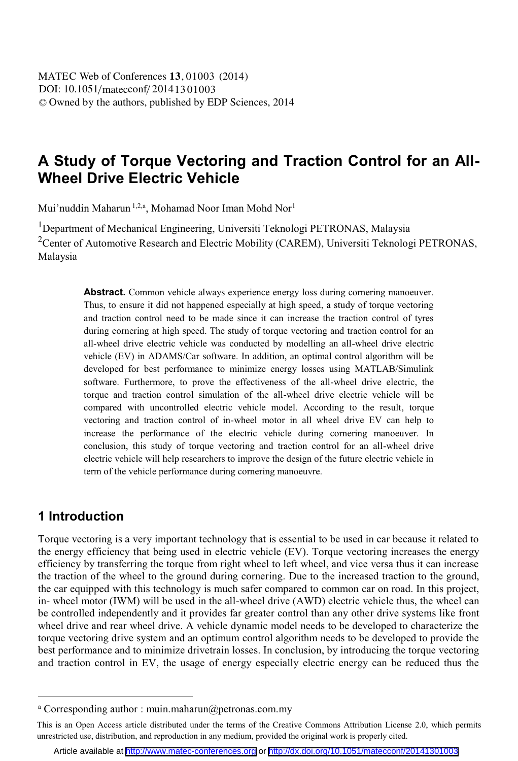# **A Study of Torque Vectoring and Traction Control for an All-Wheel Drive Electric Vehicle**

Mui'nuddin Maharun 1,2,a, Mohamad Noor Iman Mohd Nor<sup>1</sup>

<sup>1</sup>Department of Mechanical Engineering, Universiti Teknologi PETRONAS, Malaysia <sup>2</sup> Center of Automotive Research and Electric Mobility (CAREM), Universiti Teknologi PETRONAS, Malaysia

> **Abstract.** Common vehicle always experience energy loss during cornering manoeuver. Thus, to ensure it did not happened especially at high speed, a study of torque vectoring and traction control need to be made since it can increase the traction control of tyres during cornering at high speed. The study of torque vectoring and traction control for an all-wheel drive electric vehicle was conducted by modelling an all-wheel drive electric vehicle (EV) in ADAMS/Car software. In addition, an optimal control algorithm will be developed for best performance to minimize energy losses using MATLAB/Simulink software. Furthermore, to prove the effectiveness of the all-wheel drive electric, the torque and traction control simulation of the all-wheel drive electric vehicle will be compared with uncontrolled electric vehicle model. According to the result, torque vectoring and traction control of in-wheel motor in all wheel drive EV can help to increase the performance of the electric vehicle during cornering manoeuver. In conclusion, this study of torque vectoring and traction control for an all-wheel drive electric vehicle will help researchers to improve the design of the future electric vehicle in term of the vehicle performance during cornering manoeuvre.

## **1 Introduction**

 $\overline{a}$ 

Torque vectoring is a very important technology that is essential to be used in car because it related to the energy efficiency that being used in electric vehicle (EV). Torque vectoring increases the energy efficiency by transferring the torque from right wheel to left wheel, and vice versa thus it can increase the traction of the wheel to the ground during cornering. Due to the increased traction to the ground, the car equipped with this technology is much safer compared to common car on road. In this project, in- wheel motor (IWM) will be used in the all-wheel drive (AWD) electric vehicle thus, the wheel can be controlled independently and it provides far greater control than any other drive systems like front wheel drive and rear wheel drive. A vehicle dynamic model needs to be developed to characterize the torque vectoring drive system and an optimum control algorithm needs to be developed to provide the best performance and to minimize drivetrain losses. In conclusion, by introducing the torque vectoring and traction control in EV, the usage of energy especially electric energy can be reduced thus the

a Corresponding author : muin.maharun@petronas.com.my

This is an Open Access article distributed under the terms of the Creative Commons Attribution License 2.0, which permits unrestricted use, distribution, and reproduction in any medium, provided the original work is properly cited.

Article available at <http://www.matec-conferences.org> or <http://dx.doi.org/10.1051/matecconf/20141301003>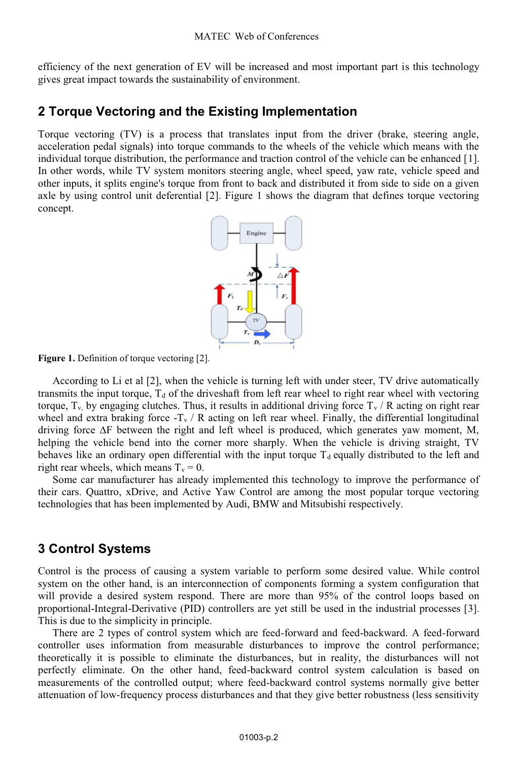efficiency of the next generation of EV will be increased and most important part is this technology gives great impact towards the sustainability of environment.

## **2 Torque Vectoring and the Existing Implementation**

Torque vectoring (TV) is a process that translates input from the driver (brake, steering angle, acceleration pedal signals) into torque commands to the wheels of the vehicle which means with the individual torque distribution, the performance and traction control of the vehicle can be enhanced [1]. In other words, while TV system monitors steering angle, wheel speed, yaw rate, vehicle speed and other inputs, it splits engine's torque from front to back and distributed it from side to side on a given axle by using control unit deferential [2]. Figure 1 shows the diagram that defines torque vectoring concept.



**Figure 1.** Definition of torque vectoring [2].

According to Li et al [2], when the vehicle is turning left with under steer, TV drive automatically transmits the input torque,  $T_d$  of the driveshaft from left rear wheel to right rear wheel with vectoring torque,  $T_v$  by engaging clutches. Thus, it results in additional driving force  $T_v$  / R acting on right rear wheel and extra braking force  $-T_v / R$  acting on left rear wheel. Finally, the differential longitudinal driving force ∆F between the right and left wheel is produced, which generates yaw moment, M, helping the vehicle bend into the corner more sharply. When the vehicle is driving straight, TV behaves like an ordinary open differential with the input torque  $T_d$  equally distributed to the left and right rear wheels, which means  $T_v = 0$ .

Some car manufacturer has already implemented this technology to improve the performance of their cars. Quattro, xDrive, and Active Yaw Control are among the most popular torque vectoring technologies that has been implemented by Audi, BMW and Mitsubishi respectively.

## **3 Control Systems**

Control is the process of causing a system variable to perform some desired value. While control system on the other hand, is an interconnection of components forming a system configuration that will provide a desired system respond. There are more than 95% of the control loops based on proportional-Integral-Derivative (PID) controllers are yet still be used in the industrial processes [3]. This is due to the simplicity in principle.

There are 2 types of control system which are feed-forward and feed-backward. A feed-forward controller uses information from measurable disturbances to improve the control performance; theoretically it is possible to eliminate the disturbances, but in reality, the disturbances will not perfectly eliminate. On the other hand, feed-backward control system calculation is based on measurements of the controlled output; where feed-backward control systems normally give better attenuation of low-frequency process disturbances and that they give better robustness (less sensitivity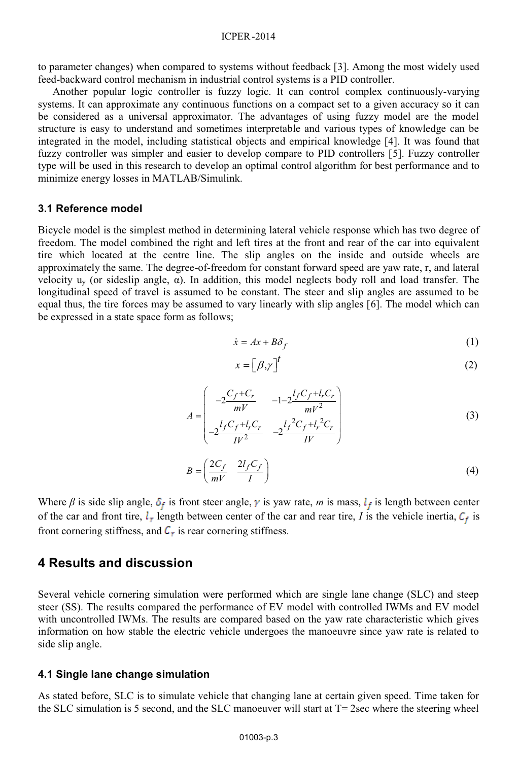### ICPER -2014

to parameter changes) when compared to systems without feedback [3]. Among the most widely used feed-backward control mechanism in industrial control systems is a PID controller.

Another popular logic controller is fuzzy logic. It can control complex continuously-varying systems. It can approximate any continuous functions on a compact set to a given accuracy so it can be considered as a universal approximator. The advantages of using fuzzy model are the model structure is easy to understand and sometimes interpretable and various types of knowledge can be integrated in the model, including statistical objects and empirical knowledge [4]. It was found that fuzzy controller was simpler and easier to develop compare to PID controllers [5]. Fuzzy controller type will be used in this research to develop an optimal control algorithm for best performance and to minimize energy losses in MATLAB/Simulink.

### **3.1 Reference model**

Bicycle model is the simplest method in determining lateral vehicle response which has two degree of freedom. The model combined the right and left tires at the front and rear of the car into equivalent tire which located at the centre line. The slip angles on the inside and outside wheels are approximately the same. The degree-of-freedom for constant forward speed are yaw rate, r, and lateral velocity  $u_y$  (or sideslip angle,  $\alpha$ ). In addition, this model neglects body roll and load transfer. The longitudinal speed of travel is assumed to be constant. The steer and slip angles are assumed to be equal thus, the tire forces may be assumed to vary linearly with slip angles [6]. The model which can be expressed in a state space form as follows;

$$
\dot{x} = Ax + B\delta_f \tag{1}
$$

$$
x = \left[\beta, \gamma\right]^t \tag{2}
$$

$$
A = \begin{pmatrix} -2\frac{C_f + C_r}{mV} & -1 - 2\frac{l_f C_f + l_r C_r}{mV^2} \\ -2\frac{l_f C_f + l_r C_r}{lV^2} & -2\frac{l_f^2 C_f + l_r^2 C_r}{lV} \end{pmatrix}
$$
(3)  

$$
B = \left(\frac{2C_f}{mV} - \frac{2l_f C_f}{I}\right)
$$
(4)

Where  $\beta$  is side slip angle,  $\delta_f$  is front steer angle,  $\gamma$  is yaw rate, *m* is mass,  $l_f$  is length between center of the car and front tire,  $l_r$  length between center of the car and rear tire, *I* is the vehicle inertia,  $C_f$  is front cornering stiffness, and  $C_r$  is rear cornering stiffness.

### **4 Results and discussion**

Several vehicle cornering simulation were performed which are single lane change (SLC) and steep steer (SS). The results compared the performance of EV model with controlled IWMs and EV model with uncontrolled IWMs. The results are compared based on the yaw rate characteristic which gives information on how stable the electric vehicle undergoes the manoeuvre since yaw rate is related to side slip angle.

### **4.1 Single lane change simulation**

As stated before, SLC is to simulate vehicle that changing lane at certain given speed. Time taken for the SLC simulation is 5 second, and the SLC manoeuver will start at  $T = 2$ sec where the steering wheel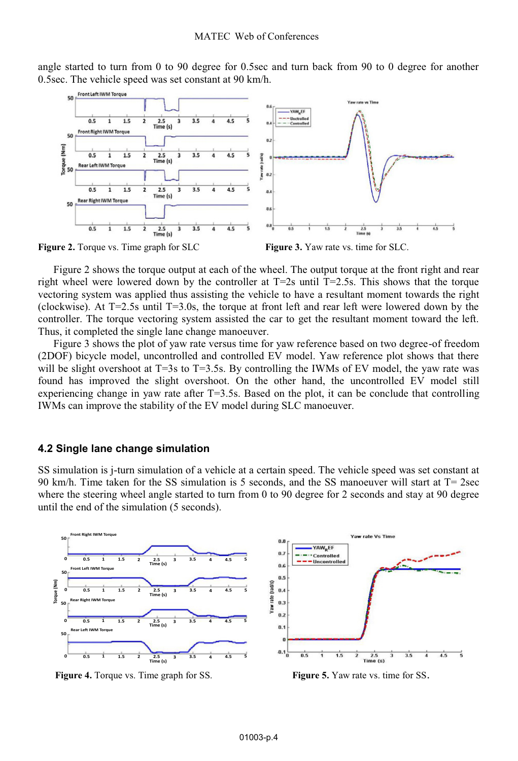angle started to turn from 0 to 90 degree for 0.5sec and turn back from 90 to 0 degree for another 0.5sec. The vehicle speed was set constant at 90 km/h.



**Figure 2.** Torque vs. Time graph for SLC **Figure 3.** Yaw rate vs. time for SLC.

Figure 2 shows the torque output at each of the wheel. The output torque at the front right and rear right wheel were lowered down by the controller at  $T=2s$  until  $T=2.5s$ . This shows that the torque vectoring system was applied thus assisting the vehicle to have a resultant moment towards the right (clockwise). At T=2.5s until T=3.0s, the torque at front left and rear left were lowered down by the controller. The torque vectoring system assisted the car to get the resultant moment toward the left. Thus, it completed the single lane change manoeuver.

Figure 3 shows the plot of yaw rate versus time for yaw reference based on two degree-of freedom (2DOF) bicycle model, uncontrolled and controlled EV model. Yaw reference plot shows that there will be slight overshoot at  $T=3$ s to  $T=3.5$ s. By controlling the IWMs of EV model, the yaw rate was found has improved the slight overshoot. On the other hand, the uncontrolled EV model still experiencing change in yaw rate after  $T=3.5s$ . Based on the plot, it can be conclude that controlling IWMs can improve the stability of the EV model during SLC manoeuver.

#### **4.2 Single lane change simulation**

SS simulation is j-turn simulation of a vehicle at a certain speed. The vehicle speed was set constant at 90 km/h. Time taken for the SS simulation is 5 seconds, and the SS manoeuver will start at T= 2sec where the steering wheel angle started to turn from 0 to 90 degree for 2 seconds and stay at 90 degree until the end of the simulation (5 seconds).



**Figure 4.** Torque vs. Time graph for SS. **Figure 5.** Yaw rate vs. time for SS.